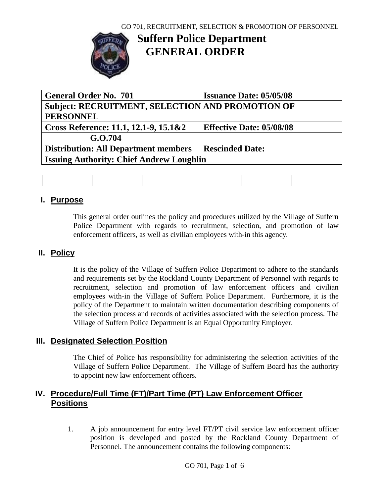

# **Suffern Police Department GENERAL ORDER**

| <b>General Order No. 701</b>                            | <b>Issuance Date: 05/05/08</b>  |  |  |  |  |  |  |  |
|---------------------------------------------------------|---------------------------------|--|--|--|--|--|--|--|
| <b>Subject: RECRUITMENT, SELECTION AND PROMOTION OF</b> |                                 |  |  |  |  |  |  |  |
| <b>PERSONNEL</b>                                        |                                 |  |  |  |  |  |  |  |
| Cross Reference: 11.1, 12.1-9, 15.1&2                   | <b>Effective Date: 05/08/08</b> |  |  |  |  |  |  |  |
| G.O.704                                                 |                                 |  |  |  |  |  |  |  |
| <b>Distribution: All Department members</b>             | <b>Rescinded Date:</b>          |  |  |  |  |  |  |  |
| <b>Issuing Authority: Chief Andrew Loughlin</b>         |                                 |  |  |  |  |  |  |  |
|                                                         |                                 |  |  |  |  |  |  |  |

### **I. Purpose**

This general order outlines the policy and procedures utilized by the Village of Suffern Police Department with regards to recruitment, selection, and promotion of law enforcement officers, as well as civilian employees with-in this agency.

### **II. Policy**

It is the policy of the Village of Suffern Police Department to adhere to the standards and requirements set by the Rockland County Department of Personnel with regards to recruitment, selection and promotion of law enforcement officers and civilian employees with-in the Village of Suffern Police Department. Furthermore, it is the policy of the Department to maintain written documentation describing components of the selection process and records of activities associated with the selection process. The Village of Suffern Police Department is an Equal Opportunity Employer.

### **III. Designated Selection Position**

The Chief of Police has responsibility for administering the selection activities of the Village of Suffern Police Department. The Village of Suffern Board has the authority to appoint new law enforcement officers.

### **IV. Procedure/Full Time (FT)/Part Time (PT) Law Enforcement Officer Positions**

1. A job announcement for entry level FT/PT civil service law enforcement officer position is developed and posted by the Rockland County Department of Personnel. The announcement contains the following components: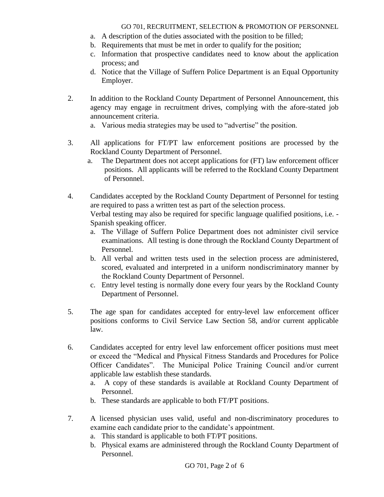- a. A description of the duties associated with the position to be filled;
- b. Requirements that must be met in order to qualify for the position;
- c. Information that prospective candidates need to know about the application process; and
- d. Notice that the Village of Suffern Police Department is an Equal Opportunity Employer.
- 2. In addition to the Rockland County Department of Personnel Announcement, this agency may engage in recruitment drives, complying with the afore-stated job announcement criteria.
	- a. Various media strategies may be used to "advertise" the position.
- 3. All applications for FT/PT law enforcement positions are processed by the Rockland County Department of Personnel.
	- a. The Department does not accept applications for (FT) law enforcement officer positions. All applicants will be referred to the Rockland County Department of Personnel.
- 4. Candidates accepted by the Rockland County Department of Personnel for testing are required to pass a written test as part of the selection process. Verbal testing may also be required for specific language qualified positions, i.e. - Spanish speaking officer.
	- a. The Village of Suffern Police Department does not administer civil service examinations. All testing is done through the Rockland County Department of Personnel.
	- b. All verbal and written tests used in the selection process are administered, scored, evaluated and interpreted in a uniform nondiscriminatory manner by the Rockland County Department of Personnel.
	- c. Entry level testing is normally done every four years by the Rockland County Department of Personnel.
- 5. The age span for candidates accepted for entry-level law enforcement officer positions conforms to Civil Service Law Section 58, and/or current applicable law.
- 6. Candidates accepted for entry level law enforcement officer positions must meet or exceed the "Medical and Physical Fitness Standards and Procedures for Police Officer Candidates". The Municipal Police Training Council and/or current applicable law establish these standards.
	- a. A copy of these standards is available at Rockland County Department of Personnel.
	- b. These standards are applicable to both FT/PT positions.
- 7. A licensed physician uses valid, useful and non-discriminatory procedures to examine each candidate prior to the candidate's appointment.
	- a. This standard is applicable to both FT/PT positions.
	- b. Physical exams are administered through the Rockland County Department of Personnel.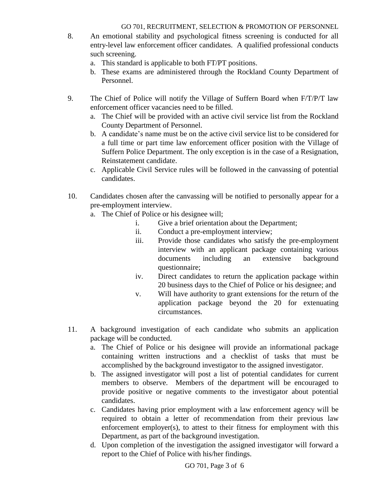- 8. An emotional stability and psychological fitness screening is conducted for all entry-level law enforcement officer candidates. A qualified professional conducts such screening.
	- a. This standard is applicable to both FT/PT positions.
	- b. These exams are administered through the Rockland County Department of Personnel.
- 9. The Chief of Police will notify the Village of Suffern Board when F/T/P/T law enforcement officer vacancies need to be filled.
	- a. The Chief will be provided with an active civil service list from the Rockland County Department of Personnel.
	- b. A candidate's name must be on the active civil service list to be considered for a full time or part time law enforcement officer position with the Village of Suffern Police Department. The only exception is in the case of a Resignation, Reinstatement candidate.
	- c. Applicable Civil Service rules will be followed in the canvassing of potential candidates.
- 10. Candidates chosen after the canvassing will be notified to personally appear for a pre-employment interview.
	- a. The Chief of Police or his designee will;
		- i. Give a brief orientation about the Department;
		- ii. Conduct a pre-employment interview;
		- iii. Provide those candidates who satisfy the pre-employment interview with an applicant package containing various documents including an extensive background questionnaire;
		- iv. Direct candidates to return the application package within 20 business days to the Chief of Police or his designee; and
		- v. Will have authority to grant extensions for the return of the application package beyond the 20 for extenuating circumstances.
- 11. A background investigation of each candidate who submits an application package will be conducted.
	- a. The Chief of Police or his designee will provide an informational package containing written instructions and a checklist of tasks that must be accomplished by the background investigator to the assigned investigator.
	- b. The assigned investigator will post a list of potential candidates for current members to observe. Members of the department will be encouraged to provide positive or negative comments to the investigator about potential candidates.
	- c. Candidates having prior employment with a law enforcement agency will be required to obtain a letter of recommendation from their previous law enforcement employer(s), to attest to their fitness for employment with this Department, as part of the background investigation.
	- d. Upon completion of the investigation the assigned investigator will forward a report to the Chief of Police with his/her findings.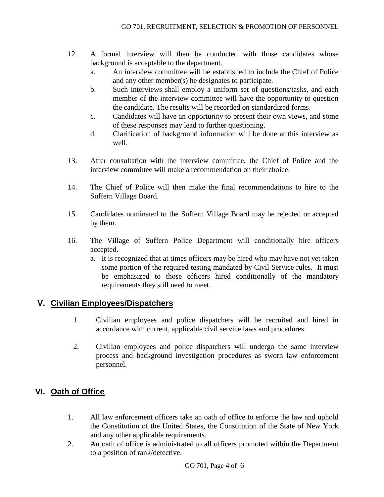- 12. A formal interview will then be conducted with those candidates whose background is acceptable to the department.
	- a. An interview committee will be established to include the Chief of Police and any other member(s) he designates to participate.
	- b. Such interviews shall employ a uniform set of questions/tasks, and each member of the interview committee will have the opportunity to question the candidate. The results will be recorded on standardized forms.
	- c. Candidates will have an opportunity to present their own views, and some of these responses may lead to further questioning.
	- d. Clarification of background information will be done at this interview as well.
- 13. After consultation with the interview committee, the Chief of Police and the interview committee will make a recommendation on their choice.
- 14. The Chief of Police will then make the final recommendations to hire to the Suffern Village Board.
- 15. Candidates nominated to the Suffern Village Board may be rejected or accepted by them.
- 16. The Village of Suffern Police Department will conditionally hire officers accepted.
	- a. It is recognized that at times officers may be hired who may have not yet taken some portion of the required testing mandated by Civil Service rules. It must be emphasized to those officers hired conditionally of the mandatory requirements they still need to meet.

### **V. Civilian Employees/Dispatchers**

- 1. Civilian employees and police dispatchers will be recruited and hired in accordance with current, applicable civil service laws and procedures.
- 2. Civilian employees and police dispatchers will undergo the same interview process and background investigation procedures as sworn law enforcement personnel.

## **VI. Oath of Office**

- 1. All law enforcement officers take an oath of office to enforce the law and uphold the Constitution of the United States, the Constitution of the State of New York and any other applicable requirements.
- 2. An oath of office is administrated to all officers promoted within the Department to a position of rank/detective.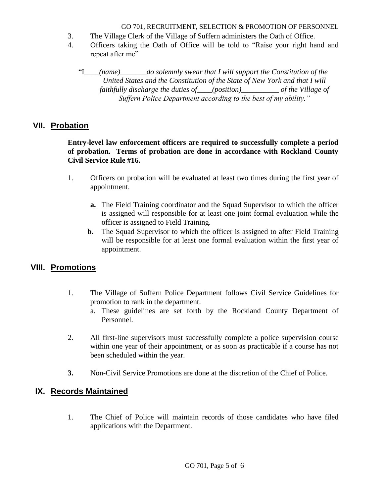- 3. The Village Clerk of the Village of Suffern administers the Oath of Office.
- 4. Officers taking the Oath of Office will be told to "Raise your right hand and repeat after me"

"I*\_\_\_\_(name)\_\_\_\_\_\_\_do solemnly swear that I will support the Constitution of the United States and the Constitution of the State of New York and that I will faithfully discharge the duties of\_\_\_\_(position)\_\_\_\_\_\_\_\_\_\_ of the Village of Suffern Police Department according to the best of my ability."*

### **VII. Probation**

#### **Entry-level law enforcement officers are required to successfully complete a period of probation. Terms of probation are done in accordance with Rockland County Civil Service Rule #16.**

- 1. Officers on probation will be evaluated at least two times during the first year of appointment.
	- **a.** The Field Training coordinator and the Squad Supervisor to which the officer is assigned will responsible for at least one joint formal evaluation while the officer is assigned to Field Training.
	- **b.** The Squad Supervisor to which the officer is assigned to after Field Training will be responsible for at least one formal evaluation within the first year of appointment.

### **VIII. Promotions**

- 1. The Village of Suffern Police Department follows Civil Service Guidelines for promotion to rank in the department.
	- a. These guidelines are set forth by the Rockland County Department of Personnel.
- 2. All first-line supervisors must successfully complete a police supervision course within one year of their appointment, or as soon as practicable if a course has not been scheduled within the year.
- **3.** Non-Civil Service Promotions are done at the discretion of the Chief of Police.

### **IX. Records Maintained**

1. The Chief of Police will maintain records of those candidates who have filed applications with the Department.